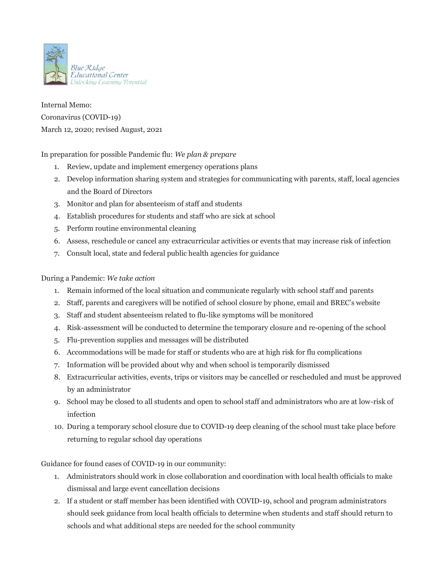

Internal Memo: Coronavirus (COVID-19) March 12, 2020; revised August, 2021

In preparation for possible Pandemic flu: *We plan & prepare*

- 1. Review, update and implement emergency operations plans
- 2. Develop information sharing system and strategies for communicating with parents, staff, local agencies and the Board of Directors
- 3. Monitor and plan for absenteeism of staff and students
- 4. Establish procedures for students and staff who are sick at school
- 5. Perform routine environmental cleaning
- 6. Assess, reschedule or cancel any extracurricular activities or events that may increase risk of infection
- 7. Consult local, state and federal public health agencies for guidance

## During a Pandemic: *We take action*

- 1. Remain informed of the local situation and communicate regularly with school staff and parents
- 2. Staff, parents and caregivers will be notified of school closure by phone, email and BREC's website
- 3. Staff and student absenteeism related to flu-like symptoms will be monitored
- 4. Risk-assessment will be conducted to determine the temporary closure and re-opening of the school
- 5. Flu-prevention supplies and messages will be distributed
- 6. Accommodations will be made for staff or students who are at high risk for flu complications
- 7. Information will be provided about why and when school is temporarily dismissed
- 8. Extracurricular activities, events, trips or visitors may be cancelled or rescheduled and must be approved by an administrator
- 9. School may be closed to all students and open to school staff and administrators who are at low-risk of infection
- 10. During a temporary school closure due to COVID-19 deep cleaning of the school must take place before returning to regular school day operations

Guidance for found cases of COVID-19 in our community:

- 1. Administrators should work in close collaboration and coordination with local health officials to make dismissal and large event cancellation decisions
- 2. If a student or staff member has been identified with COVID-19, school and program administrators should seek guidance from local health officials to determine when students and staff should return to schools and what additional steps are needed for the school community